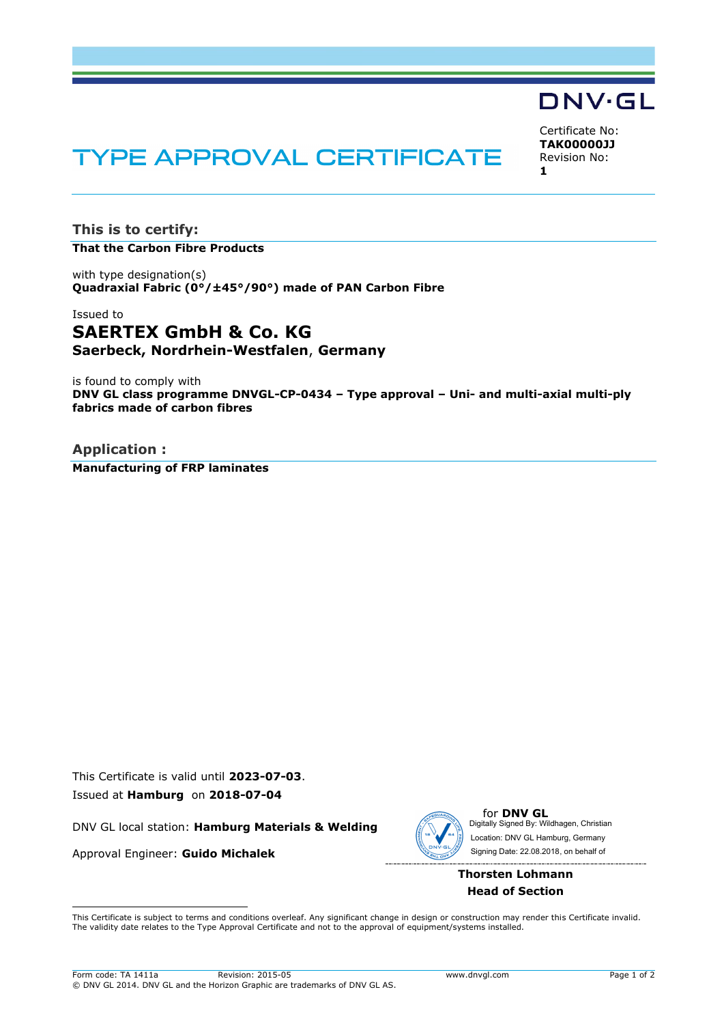# DNV·GL

Certificate No: **TAK00000JJ** Revision No: **1**

# **TYPE APPROVAL CERTIFICATE**

**This is to certify: That the Carbon Fibre Products**

with type designation(s) **Quadraxial Fabric (0°/±45°/90°) made of PAN Carbon Fibre**

# Issued to **SAERTEX GmbH & Co. KG Saerbeck, Nordrhein-Westfalen**, **Germany**

is found to comply with **DNV GL class programme DNVGL-CP-0434 – Type approval – Uni- and multi-axial multi-ply fabrics made of carbon fibres**

**Application : Manufacturing of FRP laminates**

This Certificate is valid until **2023-07-03**. Issued at **Hamburg** on **2018-07-04**

DNV GL local station: **Hamburg Materials & Welding**

Approval Engineer: **Guido Michalek**



for **DNV GL** Digitally Signed By: Wildhagen, Christian Signing Date: 22.08.2018 , on behalf ofLocation: DNV GL Hamburg, Germany

## **Thorsten Lohmann Head of Section**

 This Certificate is subject to terms and conditions overleaf. Any significant change in design or construction may render this Certificate invalid. The validity date relates to the Type Approval Certificate and not to the approval of equipment/systems installed.